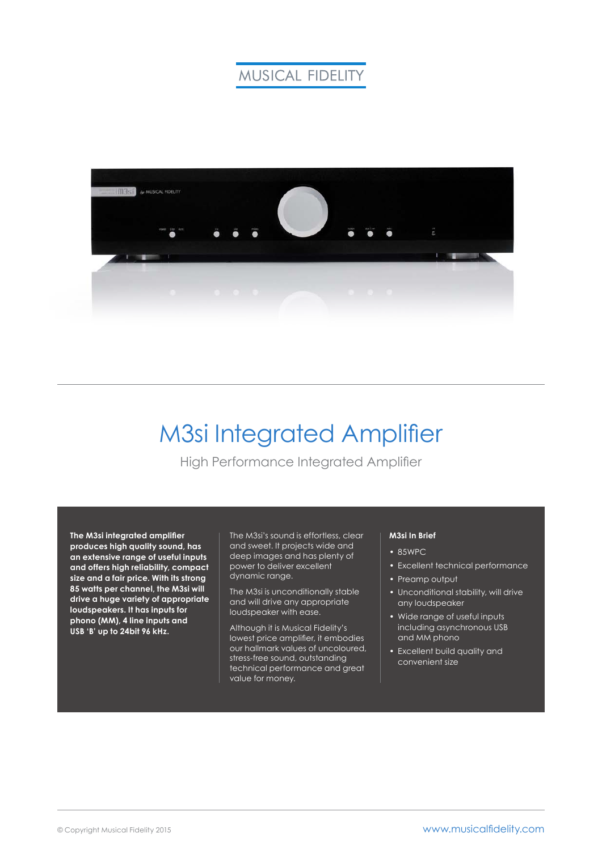# **MUSICAL FIDELITY**



# M3si Integrated Amplifier

High Performance Integrated Amplifier

**The M3si integrated amplifier produces high quality sound, has an extensive range of useful inputs and offers high reliability, compact size and a fair price. With its strong 85 watts per channel, the M3si will drive a huge variety of appropriate loudspeakers. It has inputs for phono (MM), 4 line inputs and USB 'B' up to 24bit 96 kHz.**

The M3si's sound is effortless, clear and sweet. It projects wide and deep images and has plenty of power to deliver excellent dynamic range.

The M3si is unconditionally stable and will drive any appropriate loudspeaker with ease.

Although it is Musical Fidelity's lowest price amplifier, it embodies our hallmark values of uncoloured, stress-free sound, outstanding technical performance and great value for money.

### **M3si In Brief**

- 85WPC
- Excellent technical performance
- Preamp output
- Unconditional stability, will drive any loudspeaker
- Wide range of useful inputs including asynchronous USB and MM phono
- Excellent build quality and convenient size